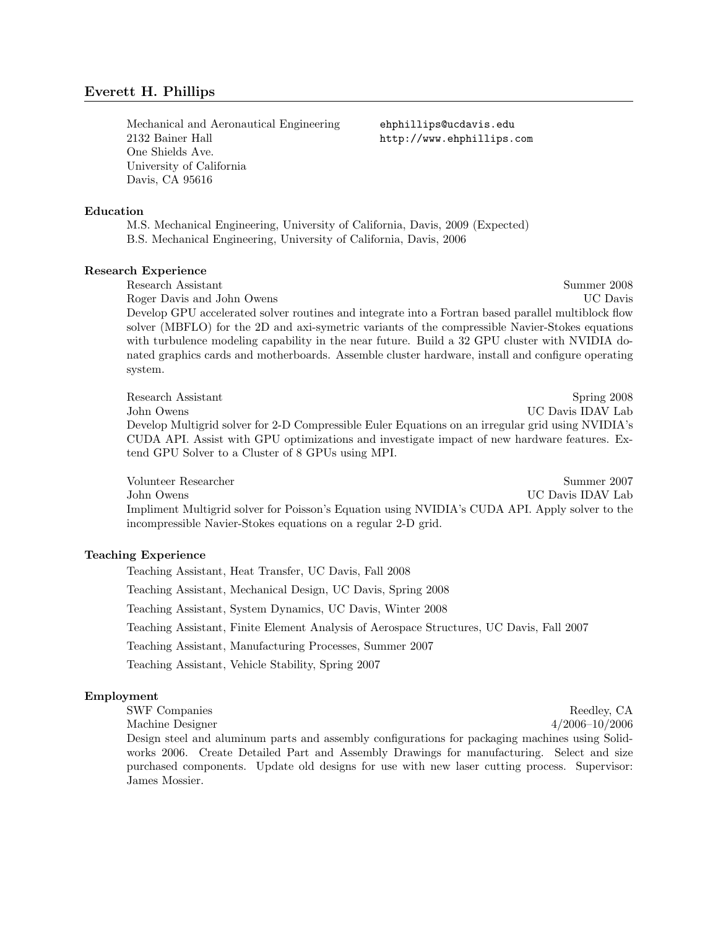Mechanical and Aeronautical Engineering ehphillips@ucdavis.edu 2132 Bainer Hall http://www.ehphillips.com One Shields Ave. University of California Davis, CA 95616

#### Education

M.S. Mechanical Engineering, University of California, Davis, 2009 (Expected) B.S. Mechanical Engineering, University of California, Davis, 2006

## Research Experience

Research Assistant Summer 2008

Roger Davis and John Owens **Example 2018** UC Davis Develop GPU accelerated solver routines and integrate into a Fortran based parallel multiblock flow solver (MBFLO) for the 2D and axi-symetric variants of the compressible Navier-Stokes equations with turbulence modeling capability in the near future. Build a 32 GPU cluster with NVIDIA donated graphics cards and motherboards. Assemble cluster hardware, install and configure operating system.

Research Assistant Spring 2008 John Owens UC Davis IDAV Lab Develop Multigrid solver for 2-D Compressible Euler Equations on an irregular grid using NVIDIA's CUDA API. Assist with GPU optimizations and investigate impact of new hardware features. Extend GPU Solver to a Cluster of 8 GPUs using MPI.

Volunteer Researcher Summer 2007 John Owens UC Davis IDAV Lab Impliment Multigrid solver for Poisson's Equation using NVIDIA's CUDA API. Apply solver to the incompressible Navier-Stokes equations on a regular 2-D grid.

# Teaching Experience

Teaching Assistant, Heat Transfer, UC Davis, Fall 2008 Teaching Assistant, Mechanical Design, UC Davis, Spring 2008 Teaching Assistant, System Dynamics, UC Davis, Winter 2008 Teaching Assistant, Finite Element Analysis of Aerospace Structures, UC Davis, Fall 2007 Teaching Assistant, Manufacturing Processes, Summer 2007 Teaching Assistant, Vehicle Stability, Spring 2007

## Employment

SWF Companies Reedley, CA Machine Designer 4/2006–10/2006

Design steel and aluminum parts and assembly configurations for packaging machines using Solidworks 2006. Create Detailed Part and Assembly Drawings for manufacturing. Select and size purchased components. Update old designs for use with new laser cutting process. Supervisor: James Mossier.